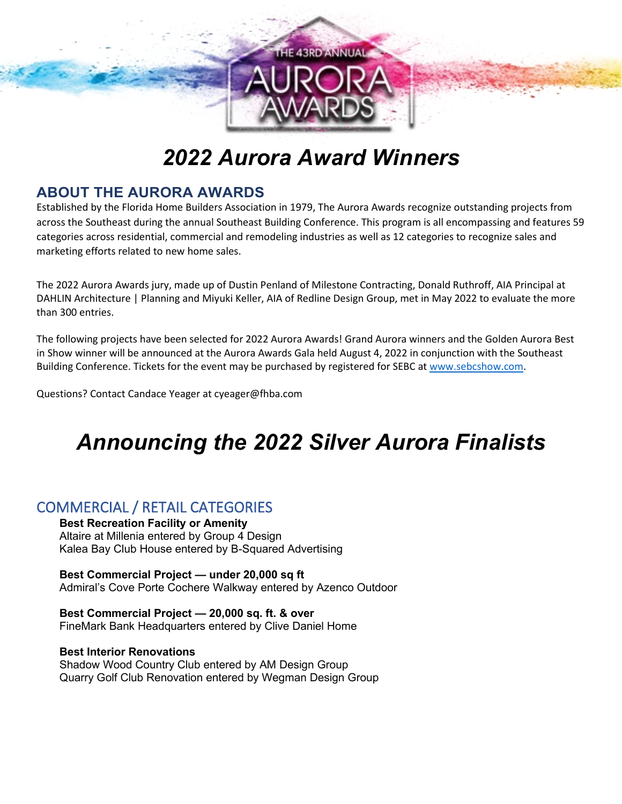

# *2022 Aurora Award Winners*

# **ABOUT THE AURORA AWARDS**

Established by the Florida Home Builders Association in 1979, The Aurora Awards recognize outstanding projects from across the Southeast during the annual Southeast Building Conference. This program is all encompassing and features 59 categories across residential, commercial and remodeling industries as well as 12 categories to recognize sales and marketing efforts related to new home sales.

The 2022 Aurora Awards jury, made up of Dustin Penland of Milestone Contracting, Donald Ruthroff, AIA Principal at DAHLIN Architecture | Planning and Miyuki Keller, AIA of Redline Design Group, met in May 2022 to evaluate the more than 300 entries.

The following projects have been selected for 2022 Aurora Awards! Grand Aurora winners and the Golden Aurora Best in Show winner will be announced at the Aurora Awards Gala held August 4, 2022 in conjunction with the Southeast Building Conference. Tickets for the event may be purchased by registered for SEBC at [www.sebcshow.com.](http://www.sebcshow.com/)

Questions? Contact Candace Yeager at cyeager@fhba.com

# *Announcing the 2022 Silver Aurora Finalists*

# COMMERCIAL / RETAIL CATEGORIES

**Best Recreation Facility or Amenity** Altaire at Millenia entered by Group 4 Design Kalea Bay Club House entered by B-Squared Advertising

**Best Commercial Project — under 20,000 sq ft** Admiral's Cove Porte Cochere Walkway entered by Azenco Outdoor

**Best Commercial Project — 20,000 sq. ft. & over** FineMark Bank Headquarters entered by Clive Daniel Home

#### **Best Interior Renovations**

Shadow Wood Country Club entered by AM Design Group Quarry Golf Club Renovation entered by Wegman Design Group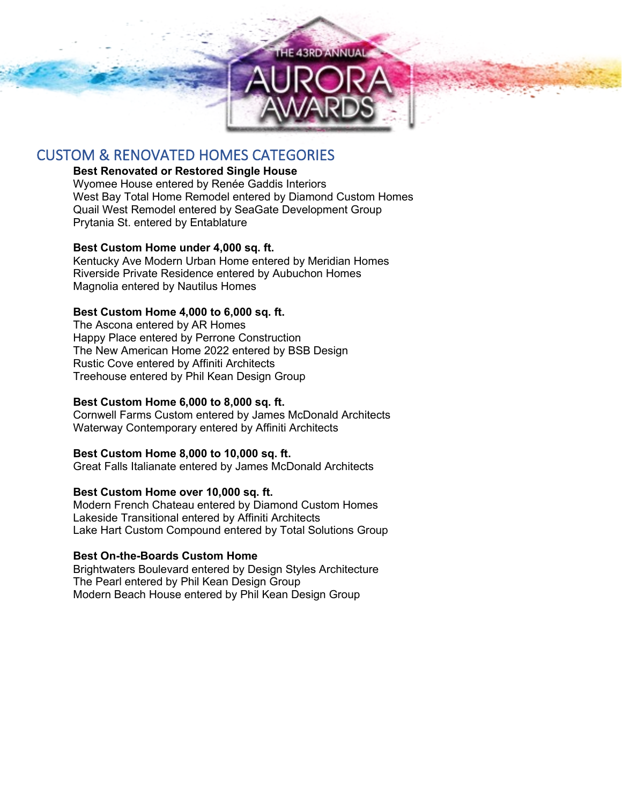

# CUSTOM & RENOVATED HOMES CATEGORIES

## **Best Renovated or Restored Single House**

Wyomee House entered by Renée Gaddis Interiors West Bay Total Home Remodel entered by Diamond Custom Homes Quail West Remodel entered by SeaGate Development Group Prytania St. entered by Entablature

## **Best Custom Home under 4,000 sq. ft.**

Kentucky Ave Modern Urban Home entered by Meridian Homes Riverside Private Residence entered by Aubuchon Homes Magnolia entered by Nautilus Homes

## **Best Custom Home 4,000 to 6,000 sq. ft.**

The Ascona entered by AR Homes Happy Place entered by Perrone Construction The New American Home 2022 entered by BSB Design Rustic Cove entered by Affiniti Architects Treehouse entered by Phil Kean Design Group

## **Best Custom Home 6,000 to 8,000 sq. ft.**

Cornwell Farms Custom entered by James McDonald Architects Waterway Contemporary entered by Affiniti Architects

#### **Best Custom Home 8,000 to 10,000 sq. ft.**

Great Falls Italianate entered by James McDonald Architects

#### **Best Custom Home over 10,000 sq. ft.**

Modern French Chateau entered by Diamond Custom Homes Lakeside Transitional entered by Affiniti Architects Lake Hart Custom Compound entered by Total Solutions Group

#### **Best On-the-Boards Custom Home**

Brightwaters Boulevard entered by Design Styles Architecture The Pearl entered by Phil Kean Design Group Modern Beach House entered by Phil Kean Design Group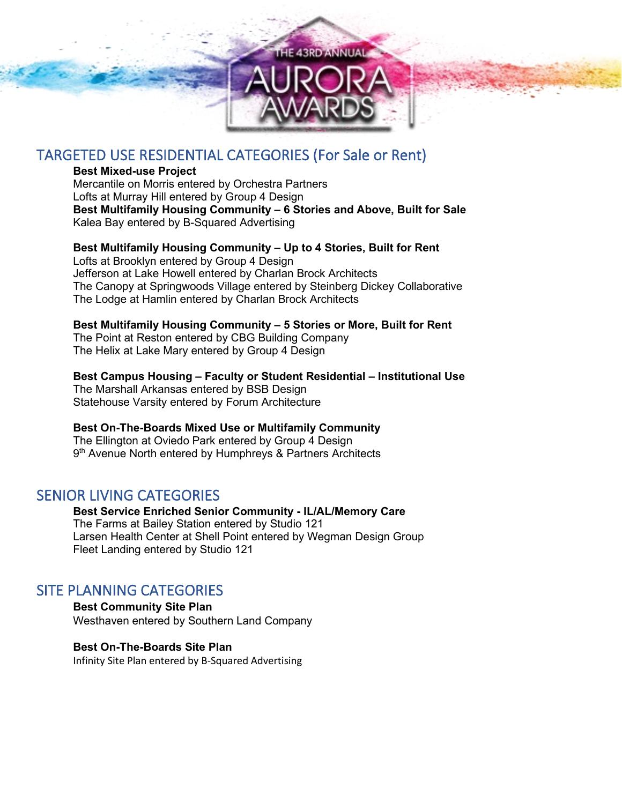

# TARGETED USE RESIDENTIAL CATEGORIES (For Sale or Rent)

#### **Best Mixed-use Project**

Mercantile on Morris entered by Orchestra Partners Lofts at Murray Hill entered by Group 4 Design **Best Multifamily Housing Community – 6 Stories and Above, Built for Sale** Kalea Bay entered by B-Squared Advertising

**Best Multifamily Housing Community – Up to 4 Stories, Built for Rent** Lofts at Brooklyn entered by Group 4 Design Jefferson at Lake Howell entered by Charlan Brock Architects

The Canopy at Springwoods Village entered by Steinberg Dickey Collaborative The Lodge at Hamlin entered by Charlan Brock Architects

## **Best Multifamily Housing Community – 5 Stories or More, Built for Rent**

The Point at Reston entered by CBG Building Company The Helix at Lake Mary entered by Group 4 Design

#### **Best Campus Housing – Faculty or Student Residential – Institutional Use**

The Marshall Arkansas entered by BSB Design Statehouse Varsity entered by Forum Architecture

## **Best On-The-Boards Mixed Use or Multifamily Community**

The Ellington at Oviedo Park entered by Group 4 Design 9<sup>th</sup> Avenue North entered by Humphreys & Partners Architects

## SENIOR LIVING CATEGORIES

**Best Service Enriched Senior Community - IL/AL/Memory Care** The Farms at Bailey Station entered by Studio 121 Larsen Health Center at Shell Point entered by Wegman Design Group Fleet Landing entered by Studio 121

## SITE PLANNING CATEGORIES

**Best Community Site Plan** Westhaven entered by Southern Land Company

## **Best On-The-Boards Site Plan**

Infinity Site Plan entered by B-Squared Advertising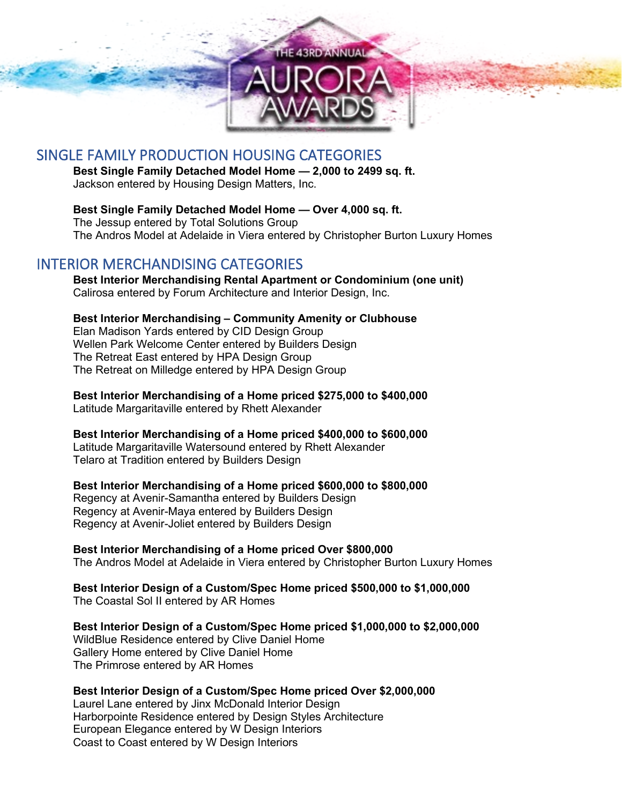

# SINGLE FAMILY PRODUCTION HOUSING CATEGORIES

**Best Single Family Detached Model Home — 2,000 to 2499 sq. ft.** Jackson entered by Housing Design Matters, Inc.

**Best Single Family Detached Model Home — Over 4,000 sq. ft.** The Jessup entered by Total Solutions Group The Andros Model at Adelaide in Viera entered by Christopher Burton Luxury Homes

# INTERIOR MERCHANDISING CATEGORIES

**Best Interior Merchandising Rental Apartment or Condominium (one unit)** Calirosa entered by Forum Architecture and Interior Design, Inc.

**Best Interior Merchandising – Community Amenity or Clubhouse** Elan Madison Yards entered by CID Design Group Wellen Park Welcome Center entered by Builders Design The Retreat East entered by HPA Design Group The Retreat on Milledge entered by HPA Design Group

**Best Interior Merchandising of a Home priced \$275,000 to \$400,000** Latitude Margaritaville entered by Rhett Alexander

**Best Interior Merchandising of a Home priced \$400,000 to \$600,000**

Latitude Margaritaville Watersound entered by Rhett Alexander Telaro at Tradition entered by Builders Design

**Best Interior Merchandising of a Home priced \$600,000 to \$800,000** Regency at Avenir-Samantha entered by Builders Design Regency at Avenir-Maya entered by Builders Design Regency at Avenir-Joliet entered by Builders Design

**Best Interior Merchandising of a Home priced Over \$800,000** The Andros Model at Adelaide in Viera entered by Christopher Burton Luxury Homes

**Best Interior Design of a Custom/Spec Home priced \$500,000 to \$1,000,000** The Coastal Sol II entered by AR Homes

**Best Interior Design of a Custom/Spec Home priced \$1,000,000 to \$2,000,000** WildBlue Residence entered by Clive Daniel Home Gallery Home entered by Clive Daniel Home The Primrose entered by AR Homes

## **Best Interior Design of a Custom/Spec Home priced Over \$2,000,000**

Laurel Lane entered by Jinx McDonald Interior Design Harborpointe Residence entered by Design Styles Architecture European Elegance entered by W Design Interiors Coast to Coast entered by W Design Interiors